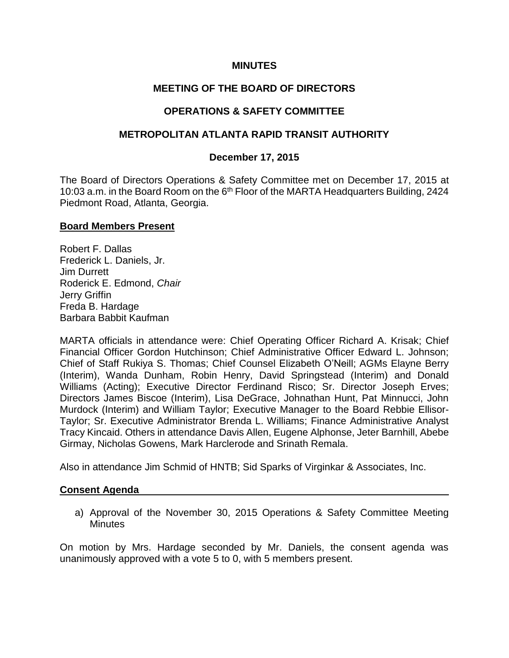# **MINUTES**

# **MEETING OF THE BOARD OF DIRECTORS**

# **OPERATIONS & SAFETY COMMITTEE**

### **METROPOLITAN ATLANTA RAPID TRANSIT AUTHORITY**

### **December 17, 2015**

The Board of Directors Operations & Safety Committee met on December 17, 2015 at 10:03 a.m. in the Board Room on the 6<sup>th</sup> Floor of the MARTA Headquarters Building, 2424 Piedmont Road, Atlanta, Georgia.

#### **Board Members Present**

Robert F. Dallas Frederick L. Daniels, Jr. Jim Durrett Roderick E. Edmond, *Chair* Jerry Griffin Freda B. Hardage Barbara Babbit Kaufman

MARTA officials in attendance were: Chief Operating Officer Richard A. Krisak; Chief Financial Officer Gordon Hutchinson; Chief Administrative Officer Edward L. Johnson; Chief of Staff Rukiya S. Thomas; Chief Counsel Elizabeth O'Neill; AGMs Elayne Berry (Interim), Wanda Dunham, Robin Henry, David Springstead (Interim) and Donald Williams (Acting); Executive Director Ferdinand Risco; Sr. Director Joseph Erves; Directors James Biscoe (Interim), Lisa DeGrace, Johnathan Hunt, Pat Minnucci, John Murdock (Interim) and William Taylor; Executive Manager to the Board Rebbie Ellisor-Taylor; Sr. Executive Administrator Brenda L. Williams; Finance Administrative Analyst Tracy Kincaid. Others in attendance Davis Allen, Eugene Alphonse, Jeter Barnhill, Abebe Girmay, Nicholas Gowens, Mark Harclerode and Srinath Remala.

Also in attendance Jim Schmid of HNTB; Sid Sparks of Virginkar & Associates, Inc.

#### **Consent Agenda**

a) Approval of the November 30, 2015 Operations & Safety Committee Meeting **Minutes** 

On motion by Mrs. Hardage seconded by Mr. Daniels, the consent agenda was unanimously approved with a vote 5 to 0, with 5 members present.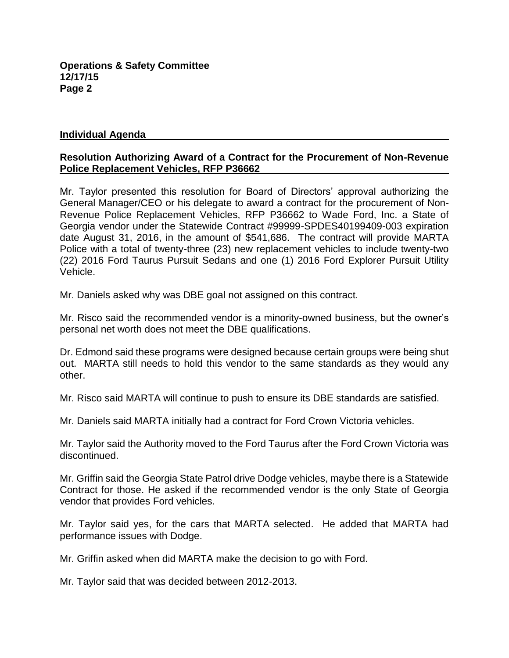# **Individual Agenda**

# **Resolution Authorizing Award of a Contract for the Procurement of Non-Revenue Police Replacement Vehicles, RFP P36662**

Mr. Taylor presented this resolution for Board of Directors' approval authorizing the General Manager/CEO or his delegate to award a contract for the procurement of Non-Revenue Police Replacement Vehicles, RFP P36662 to Wade Ford, Inc. a State of Georgia vendor under the Statewide Contract #99999-SPDES40199409-003 expiration date August 31, 2016, in the amount of \$541,686. The contract will provide MARTA Police with a total of twenty-three (23) new replacement vehicles to include twenty-two (22) 2016 Ford Taurus Pursuit Sedans and one (1) 2016 Ford Explorer Pursuit Utility Vehicle.

Mr. Daniels asked why was DBE goal not assigned on this contract.

Mr. Risco said the recommended vendor is a minority-owned business, but the owner's personal net worth does not meet the DBE qualifications.

Dr. Edmond said these programs were designed because certain groups were being shut out. MARTA still needs to hold this vendor to the same standards as they would any other.

Mr. Risco said MARTA will continue to push to ensure its DBE standards are satisfied.

Mr. Daniels said MARTA initially had a contract for Ford Crown Victoria vehicles.

Mr. Taylor said the Authority moved to the Ford Taurus after the Ford Crown Victoria was discontinued.

Mr. Griffin said the Georgia State Patrol drive Dodge vehicles, maybe there is a Statewide Contract for those. He asked if the recommended vendor is the only State of Georgia vendor that provides Ford vehicles.

Mr. Taylor said yes, for the cars that MARTA selected. He added that MARTA had performance issues with Dodge.

Mr. Griffin asked when did MARTA make the decision to go with Ford.

Mr. Taylor said that was decided between 2012-2013.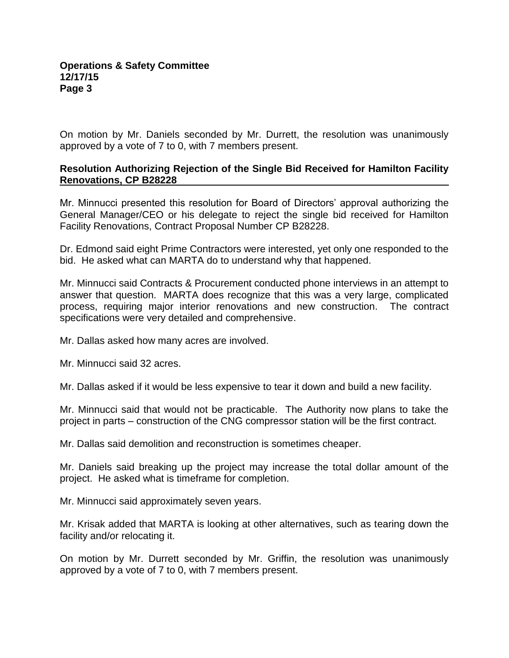On motion by Mr. Daniels seconded by Mr. Durrett, the resolution was unanimously approved by a vote of 7 to 0, with 7 members present.

# **Resolution Authorizing Rejection of the Single Bid Received for Hamilton Facility Renovations, CP B28228**

Mr. Minnucci presented this resolution for Board of Directors' approval authorizing the General Manager/CEO or his delegate to reject the single bid received for Hamilton Facility Renovations, Contract Proposal Number CP B28228.

Dr. Edmond said eight Prime Contractors were interested, yet only one responded to the bid. He asked what can MARTA do to understand why that happened.

Mr. Minnucci said Contracts & Procurement conducted phone interviews in an attempt to answer that question. MARTA does recognize that this was a very large, complicated process, requiring major interior renovations and new construction. The contract specifications were very detailed and comprehensive.

Mr. Dallas asked how many acres are involved.

Mr. Minnucci said 32 acres.

Mr. Dallas asked if it would be less expensive to tear it down and build a new facility.

Mr. Minnucci said that would not be practicable. The Authority now plans to take the project in parts – construction of the CNG compressor station will be the first contract.

Mr. Dallas said demolition and reconstruction is sometimes cheaper.

Mr. Daniels said breaking up the project may increase the total dollar amount of the project. He asked what is timeframe for completion.

Mr. Minnucci said approximately seven years.

Mr. Krisak added that MARTA is looking at other alternatives, such as tearing down the facility and/or relocating it.

On motion by Mr. Durrett seconded by Mr. Griffin, the resolution was unanimously approved by a vote of 7 to 0, with 7 members present.